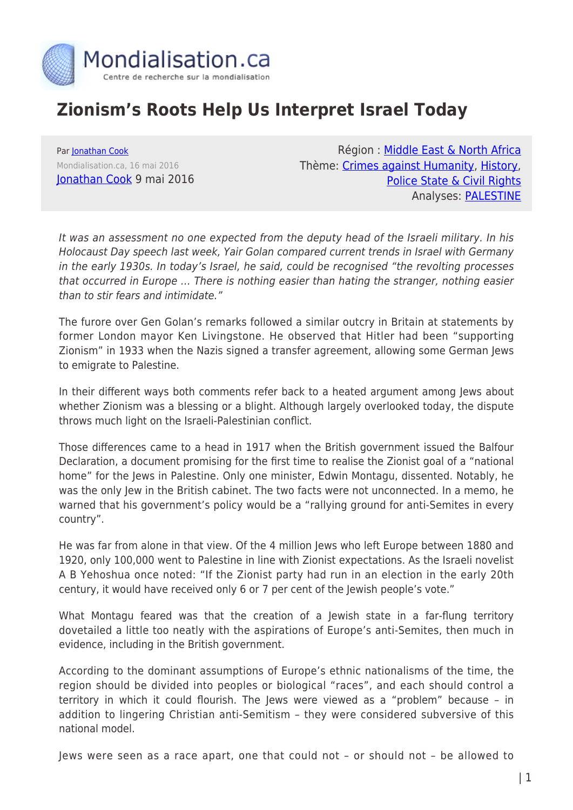

## **Zionism's Roots Help Us Interpret Israel Today**

Par [Jonathan Cook](https://www.mondialisation.ca/author/jonathan-cook) Mondialisation.ca, 16 mai 2016 [Jonathan Cook](http://www.jonathan-cook.net/2016-05-09/zionisms-roots-help-us-interpret-israel-today/) 9 mai 2016

Région : [Middle East & North Africa](https://www.mondialisation.ca/region/middle-east) Thème: [Crimes against Humanity,](https://www.mondialisation.ca/theme/crimes-against-humanity) [History](https://www.mondialisation.ca/theme/culture-society-history), [Police State & Civil Rights](https://www.mondialisation.ca/theme/police-state-civil-rights) Analyses: [PALESTINE](https://www.mondialisation.ca/indepthreport/palestine)

It was an assessment no one expected from the deputy head of the Israeli military. In his Holocaust Day speech last week, Yair Golan compared current trends in Israel with Germany in the early 1930s. In today's Israel, he said, could be recognised "the revolting processes that occurred in Europe … There is nothing easier than hating the stranger, nothing easier than to stir fears and intimidate."

The furore over Gen Golan's remarks followed a similar outcry in Britain at statements by former London mayor Ken Livingstone. He observed that Hitler had been "supporting Zionism" in 1933 when the Nazis signed a transfer agreement, allowing some German Jews to emigrate to Palestine.

In their different ways both comments refer back to a heated argument among Jews about whether Zionism was a blessing or a blight. Although largely overlooked today, the dispute throws much light on the Israeli-Palestinian conflict.

Those differences came to a head in 1917 when the British government issued the Balfour Declaration, a document promising for the first time to realise the Zionist goal of a "national home" for the Jews in Palestine. Only one minister, Edwin Montagu, dissented. Notably, he was the only Jew in the British cabinet. The two facts were not unconnected. In a memo, he warned that his government's policy would be a "rallying ground for anti-Semites in every country".

He was far from alone in that view. Of the 4 million Jews who left Europe between 1880 and 1920, only 100,000 went to Palestine in line with Zionist expectations. As the Israeli novelist A B Yehoshua once noted: "If the Zionist party had run in an election in the early 20th century, it would have received only 6 or 7 per cent of the Jewish people's vote."

What Montagu feared was that the creation of a Jewish state in a far-flung territory dovetailed a little too neatly with the aspirations of Europe's anti-Semites, then much in evidence, including in the British government.

According to the dominant assumptions of Europe's ethnic nationalisms of the time, the region should be divided into peoples or biological "races", and each should control a territory in which it could flourish. The Jews were viewed as a "problem" because – in addition to lingering Christian anti-Semitism – they were considered subversive of this national model.

Jews were seen as a race apart, one that could not – or should not – be allowed to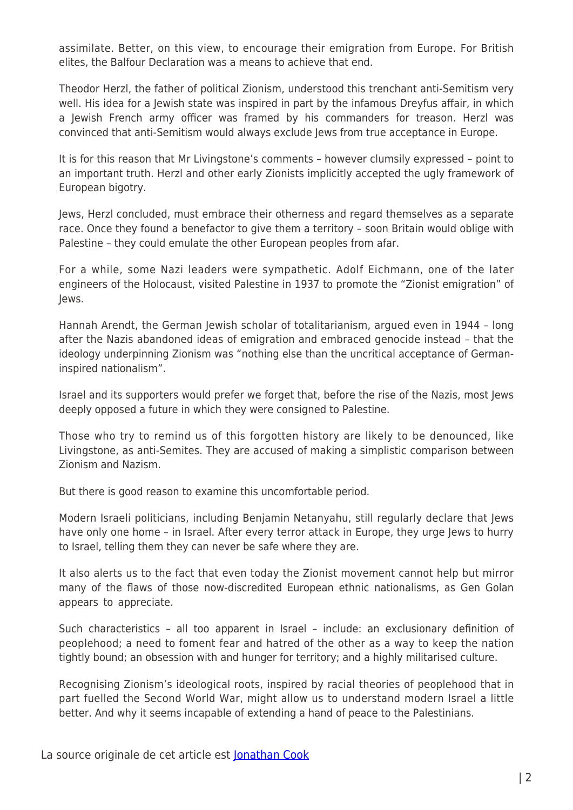assimilate. Better, on this view, to encourage their emigration from Europe. For British elites, the Balfour Declaration was a means to achieve that end.

Theodor Herzl, the father of political Zionism, understood this trenchant anti-Semitism very well. His idea for a Jewish state was inspired in part by the infamous Dreyfus affair, in which a Jewish French army officer was framed by his commanders for treason. Herzl was convinced that anti-Semitism would always exclude Jews from true acceptance in Europe.

It is for this reason that Mr Livingstone's comments – however clumsily expressed – point to an important truth. Herzl and other early Zionists implicitly accepted the ugly framework of European bigotry.

Jews, Herzl concluded, must embrace their otherness and regard themselves as a separate race. Once they found a benefactor to give them a territory – soon Britain would oblige with Palestine – they could emulate the other European peoples from afar.

For a while, some Nazi leaders were sympathetic. Adolf Eichmann, one of the later engineers of the Holocaust, visited Palestine in 1937 to promote the "Zionist emigration" of Jews.

Hannah Arendt, the German Jewish scholar of totalitarianism, argued even in 1944 – long after the Nazis abandoned ideas of emigration and embraced genocide instead – that the ideology underpinning Zionism was "nothing else than the uncritical acceptance of Germaninspired nationalism".

Israel and its supporters would prefer we forget that, before the rise of the Nazis, most Jews deeply opposed a future in which they were consigned to Palestine.

Those who try to remind us of this forgotten history are likely to be denounced, like Livingstone, as anti-Semites. They are accused of making a simplistic comparison between Zionism and Nazism.

But there is good reason to examine this uncomfortable period.

Modern Israeli politicians, including Benjamin Netanyahu, still regularly declare that Jews have only one home - in Israel. After every terror attack in Europe, they urge Jews to hurry to Israel, telling them they can never be safe where they are.

It also alerts us to the fact that even today the Zionist movement cannot help but mirror many of the flaws of those now-discredited European ethnic nationalisms, as Gen Golan appears to appreciate.

Such characteristics – all too apparent in Israel – include: an exclusionary definition of peoplehood; a need to foment fear and hatred of the other as a way to keep the nation tightly bound; an obsession with and hunger for territory; and a highly militarised culture.

Recognising Zionism's ideological roots, inspired by racial theories of peoplehood that in part fuelled the Second World War, might allow us to understand modern Israel a little better. And why it seems incapable of extending a hand of peace to the Palestinians.